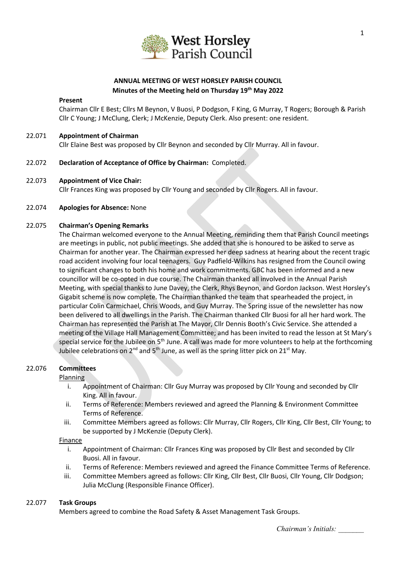

# **ANNUAL MEETING OF WEST HORSLEY PARISH COUNCIL Minutes of the Meeting held on Thursday 19th May 2022**

#### **Present**

Chairman Cllr E Best; Cllrs M Beynon, V Buosi, P Dodgson, F King, G Murray, T Rogers; Borough & Parish Cllr C Young; J McClung, Clerk; J McKenzie, Deputy Clerk. Also present: one resident.

### 22.071 **Appointment of Chairman** Cllr Elaine Best was proposed by Cllr Beynon and seconded by Cllr Murray. All in favour.

22.072 **Declaration of Acceptance of Office by Chairman:** Completed.

#### 22.073 **Appointment of Vice Chair:**

Cllr Frances King was proposed by Cllr Young and seconded by Cllr Rogers. All in favour.

#### 22.074 **Apologies for Absence:** None

#### 22.075 **Chairman's Opening Remarks**

The Chairman welcomed everyone to the Annual Meeting, reminding them that Parish Council meetings are meetings in public, not public meetings. She added that she is honoured to be asked to serve as Chairman for another year. The Chairman expressed her deep sadness at hearing about the recent tragic road accident involving four local teenagers. Guy Padfield-Wilkins has resigned from the Council owing to significant changes to both his home and work commitments. GBC has been informed and a new councillor will be co-opted in due course. The Chairman thanked all involved in the Annual Parish Meeting, with special thanks to June Davey, the Clerk, Rhys Beynon, and Gordon Jackson. West Horsley's Gigabit scheme is now complete. The Chairman thanked the team that spearheaded the project, in particular Colin Carmichael, Chris Woods, and Guy Murray. The Spring issue of the newsletter has now been delivered to all dwellings in the Parish. The Chairman thanked Cllr Buosi for all her hard work. The Chairman has represented the Parish at The Mayor, Cllr Dennis Booth's Civic Service. She attended a meeting of the Village Hall Management Committee; and has been invited to read the lesson at St Mary's special service for the Jubilee on 5<sup>th</sup> June. A call was made for more volunteers to help at the forthcoming Jubilee celebrations on  $2^{nd}$  and  $5^{th}$  June, as well as the spring litter pick on  $21^{st}$  May.

### 22.076 **Committees**

#### Planning

- i. Appointment of Chairman: Cllr Guy Murray was proposed by Cllr Young and seconded by Cllr King. All in favour.
- ii. Terms of Reference: Members reviewed and agreed the Planning & Environment Committee Terms of Reference.
- iii. Committee Members agreed as follows: Cllr Murray, Cllr Rogers, Cllr King, Cllr Best, Cllr Young; to be supported by J McKenzie (Deputy Clerk).

#### Finance

- i. Appointment of Chairman: Cllr Frances King was proposed by Cllr Best and seconded by Cllr Buosi. All in favour.
- ii. Terms of Reference: Members reviewed and agreed the Finance Committee Terms of Reference.
- iii. Committee Members agreed as follows: Cllr King, Cllr Best, Cllr Buosi, Cllr Young, Cllr Dodgson; Julia McClung (Responsible Finance Officer).

### 22.077 **Task Groups**

Members agreed to combine the Road Safety & Asset Management Task Groups.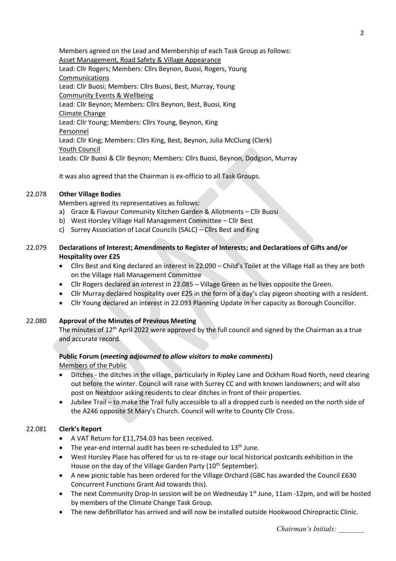Members agreed on the Lead and Membership of each Task Group as follows: Asset Management, Road Safety & Village Appearance Lead: Cllr Rogers; Members: Cllrs Beynon, Buosi, Rogers, Young Communications Lead: Cllr Buosi; Members: Cllrs Buosi, Best, Murray, Young Community Events & Wellbeing Lead: Cllr Beynon; Members: Cllrs Beynon, Best, Buosi, King Climate Change Lead: Cllr Young; Members: Cllrs Young, Beynon, King Personnel Lead: Cllr King; Members: Cllrs King, Best, Beynon, Julia McClung (Clerk) Youth Council Leads: Cllr Buosi & Cllr Beynon; Members: Cllrs Buosi, Beynon, Dodgson, Murray

It was also agreed that the Chairman is ex-officio to all Task Groups.

## 22.078 **Other Village Bodies**

Members agreed its representatives as follows:

- a) Grace & Flavour Community Kitchen Garden & Allotments Cllr Buosi
- b) West Horsley Village Hall Management Committee Cllr Best
- c) Surrey Association of Local Councils (SALC) Cllrs Best and King

## 22.079 **Declarations of Interest; Amendments to Register of Interests; and Declarations of Gifts and/or Hospitality over £25**

- Cllrs Best and King declared an interest in 22.090 Child's Toilet at the Village Hall as they are both on the Village Hall Management Committee
- Cllr Rogers declared an interest in 22.085 Village Green as he lives opposite the Green.
- Cllr Murray declared hospitality over £25 in the form of a day's clay pigeon shooting with a resident.
- Cllr Young declared an interest in 22.093 Planning Update in her capacity as Borough Councillor.

### 22.080 **Approval of the Minutes of Previous Meeting**

The minutes of  $12<sup>th</sup>$  April 2022 were approved by the full council and signed by the Chairman as a true and accurate record.

## **Public Forum (***meeting adjourned to allow visitors to make comments***)** Members of the Public

- Ditches the ditches in the village, particularly in Ripley Lane and Ockham Road North, need clearing out before the winter. Council will raise with Surrey CC and with known landowners; and will also post on Nextdoor asking residents to clear ditches in front of their properties.
- Jubilee Trail to make the Trail fully accessible to all a dropped curb is needed on the north side of the A246 opposite St Mary's Church. Council will write to County Cllr Cross.

### 22.081 **Clerk's Report**

- A VAT Return for £11,754.03 has been received.
- The year-end internal audit has been re-scheduled to  $13<sup>th</sup>$  June.
- West Horsley Place has offered for us to re-stage our local historical postcards exhibition in the House on the day of the Village Garden Party  $(10<sup>th</sup> September)$ .
- A new picnic table has been ordered for the Village Orchard (GBC has awarded the Council £630 Concurrent Functions Grant Aid towards this).
- The next Community Drop-In session will be on Wednesday 1<sup>st</sup> June, 11am -12pm, and will be hosted by members of the Climate Change Task Group.
- The new defibrillator has arrived and will now be installed outside Hookwood Chiropractic Clinic.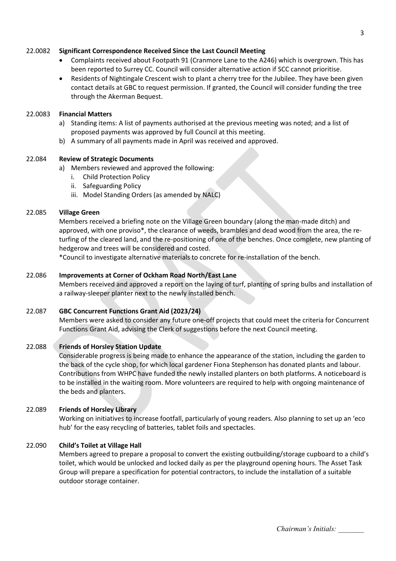### 22.0082 **Significant Correspondence Received Since the Last Council Meeting**

- Complaints received about Footpath 91 (Cranmore Lane to the A246) which is overgrown. This has been reported to Surrey CC. Council will consider alternative action if SCC cannot prioritise.
- Residents of Nightingale Crescent wish to plant a cherry tree for the Jubilee. They have been given contact details at GBC to request permission. If granted, the Council will consider funding the tree through the Akerman Bequest.

### 22.0083 **Financial Matters**

- a) Standing items: A list of payments authorised at the previous meeting was noted; and a list of proposed payments was approved by full Council at this meeting.
- b) A summary of all payments made in April was received and approved.

## 22.084 **Review of Strategic Documents**

- a) Members reviewed and approved the following:
	- i. Child Protection Policy
	- ii. Safeguarding Policy
	- iii. Model Standing Orders (as amended by NALC)

## 22.085 **Village Green**

Members received a briefing note on the Village Green boundary (along the man-made ditch) and approved, with one proviso\*, the clearance of weeds, brambles and dead wood from the area, the returfing of the cleared land, and the re-positioning of one of the benches. Once complete, new planting of hedgerow and trees will be considered and costed.

\*Council to investigate alternative materials to concrete for re-installation of the bench.

## 22.086 **Improvements at Corner of Ockham Road North/East Lane**

Members received and approved a report on the laying of turf, planting of spring bulbs and installation of a railway-sleeper planter next to the newly installed bench.

# 22.087 **GBC Concurrent Functions Grant Aid (2023/24)**

Members were asked to consider any future one-off projects that could meet the criteria for Concurrent Functions Grant Aid, advising the Clerk of suggestions before the next Council meeting.

# 22.088 **Friends of Horsley Station Update**

Considerable progress is being made to enhance the appearance of the station, including the garden to the back of the cycle shop, for which local gardener Fiona Stephenson has donated plants and labour. Contributions from WHPC have funded the newly installed planters on both platforms. A noticeboard is to be installed in the waiting room. More volunteers are required to help with ongoing maintenance of the beds and planters.

### 22.089 **Friends of Horsley Library**

Working on initiatives to increase footfall, particularly of young readers. Also planning to set up an 'eco hub' for the easy recycling of batteries, tablet foils and spectacles.

### 22.090 **Child's Toilet at Village Hall**

Members agreed to prepare a proposal to convert the existing outbuilding/storage cupboard to a child's toilet, which would be unlocked and locked daily as per the playground opening hours. The Asset Task Group will prepare a specification for potential contractors, to include the installation of a suitable outdoor storage container.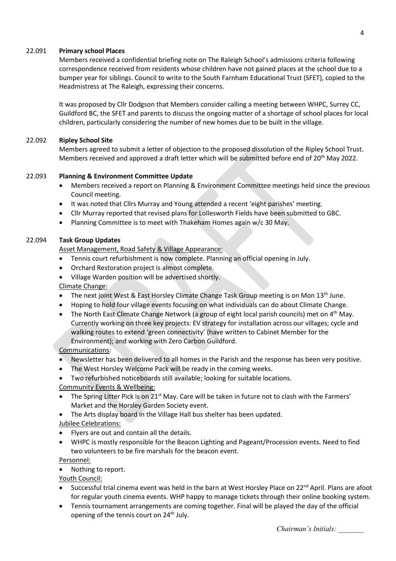### 22.091 **Primary school Places**

Members received a confidential briefing note on The Raleigh School's admissions criteria following correspondence received from residents whose children have not gained places at the school due to a bumper year for siblings. Council to write to the South Farnham Educational Trust (SFET), copied to the Headmistress at The Raleigh, expressing their concerns.

It was proposed by Cllr Dodgson that Members consider calling a meeting between WHPC, Surrey CC, Guildford BC, the SFET and parents to discuss the ongoing matter of a shortage of school places for local children, particularly considering the number of new homes due to be built in the village.

## 22.092 **Ripley School Site**

Members agreed to submit a letter of objection to the proposed dissolution of the Ripley School Trust. Members received and approved a draft letter which will be submitted before end of 20<sup>th</sup> May 2022.

## 22.093 **Planning & Environment Committee Update**

- Members received a report on Planning & Environment Committee meetings held since the previous Council meeting.
- It was noted that Cllrs Murray and Young attended a recent 'eight parishes' meeting.
- Cllr Murray reported that revised plans for Lollesworth Fields have been submitted to GBC.
- Planning Committee is to meet with Thakeham Homes again w/c 30 May.

## 22.094 **Task Group Updates**

Asset Management, Road Safety & Village Appearance:

- Tennis court refurbishment is now complete. Planning an official opening in July.
- Orchard Restoration project is almost complete.
- Village Warden position will be advertised shortly.

Climate Change:

- The next joint West & East Horsley Climate Change Task Group meeting is on Mon 13<sup>th</sup> June.
- Hoping to hold four village events focusing on what individuals can do about Climate Change.
- The North East Climate Change Network (a group of eight local parish councils) met on  $4<sup>th</sup>$  May. Currently working on three key projects: EV strategy for installation across our villages; cycle and walking routes to extend 'green connectivity' (have written to Cabinet Member for the Environment); and working with Zero Carbon Guildford.

# Communications:

- Newsletter has been delivered to all homes in the Parish and the response has been very positive.
- The West Horsley Welcome Pack will be ready in the coming weeks.
- Two refurbished noticeboards still available; looking for suitable locations.

### Community Events & Wellbeing:

- The Spring Litter Pick is on 21<sup>st</sup> May. Care will be taken in future not to clash with the Farmers' Market and the Horsley Garden Society event.
- The Arts display board in the Village Hall bus shelter has been updated.

Jubilee Celebrations:

- Flyers are out and contain all the details.
- WHPC is mostly responsible for the Beacon Lighting and Pageant/Procession events. Need to find two volunteers to be fire marshals for the beacon event.

Personnel:

• Nothing to report.

Youth Council:

- Successful trial cinema event was held in the barn at West Horsley Place on 22<sup>nd</sup> April. Plans are afoot for regular youth cinema events. WHP happy to manage tickets through their online booking system.
- Tennis tournament arrangements are coming together. Final will be played the day of the official opening of the tennis court on 24<sup>th</sup> July.